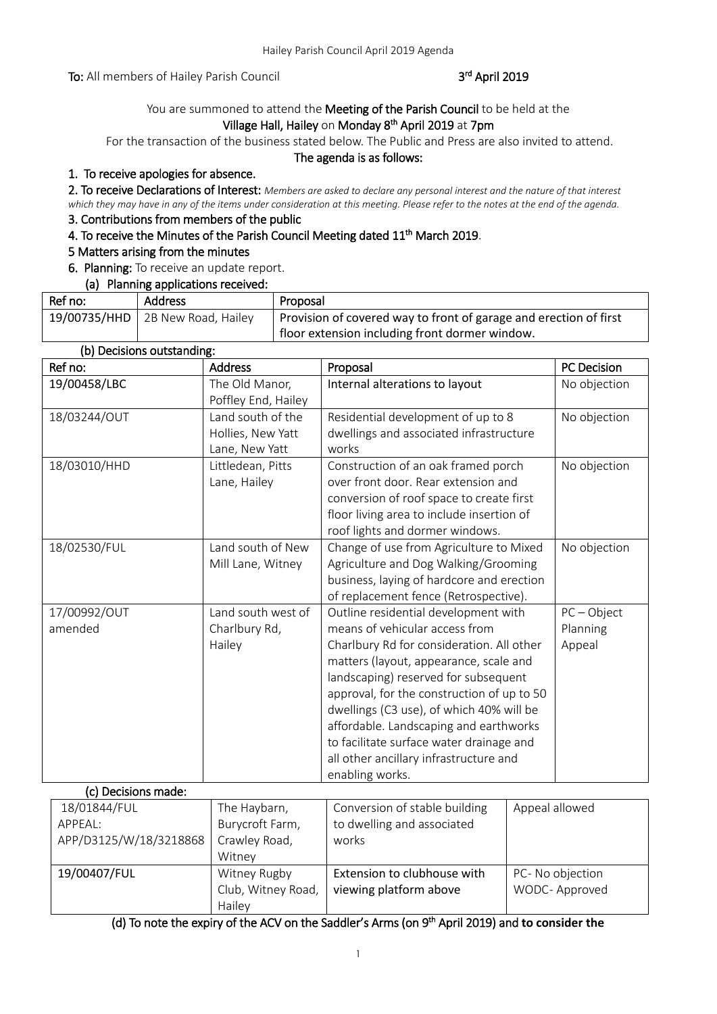To: All members of Hailey Parish Council

# rd April 2019

# You are summoned to attend the Meeting of the Parish Council to be held at the Village Hall, Hailey on Monday 8<sup>th</sup> April 2019 at 7pm

For the transaction of the business stated below. The Public and Press are also invited to attend.

### The agenda is as follows:

# 1. To receive apologies for absence.

2. To receive Declarations of Interest: *Members are asked to declare any personal interest and the nature of that interest which they may have in any of the items under consideration at this meeting. Please refer to the notes at the end of the agenda.*

## 3. Contributions from members of the public

# 4. To receive the Minutes of the Parish Council Meeting dated 11<sup>th</sup> March 2019.

## 5 Matters arising from the minutes

## 6. Planning: To receive an update report.

## (a) Planning applications received:

| Ref no: | <b>Address</b>                           | Proposal                                                          |
|---------|------------------------------------------|-------------------------------------------------------------------|
|         | 19/00735/HHD $\vert$ 2B New Road, Hailey | Provision of covered way to front of garage and erection of first |
|         |                                          | floor extension including front dormer window.                    |

### (b) Decisions outstanding:

| Ref no:                 | <b>Address</b>                                           | Proposal                                                                                                                                                                                                                                                                                                                                                                                                                                           | PC Decision                         |
|-------------------------|----------------------------------------------------------|----------------------------------------------------------------------------------------------------------------------------------------------------------------------------------------------------------------------------------------------------------------------------------------------------------------------------------------------------------------------------------------------------------------------------------------------------|-------------------------------------|
| 19/00458/LBC            | The Old Manor,<br>Poffley End, Hailey                    | No objection<br>Internal alterations to layout                                                                                                                                                                                                                                                                                                                                                                                                     |                                     |
| 18/03244/OUT            | Land south of the<br>Hollies, New Yatt<br>Lane, New Yatt | Residential development of up to 8<br>dwellings and associated infrastructure<br>works                                                                                                                                                                                                                                                                                                                                                             | No objection                        |
| 18/03010/HHD            | Littledean, Pitts<br>Lane, Hailey                        | Construction of an oak framed porch<br>over front door. Rear extension and<br>conversion of roof space to create first<br>floor living area to include insertion of<br>roof lights and dormer windows.                                                                                                                                                                                                                                             | No objection                        |
| 18/02530/FUL            | Land south of New<br>Mill Lane, Witney                   | Change of use from Agriculture to Mixed<br>Agriculture and Dog Walking/Grooming<br>business, laying of hardcore and erection<br>of replacement fence (Retrospective).                                                                                                                                                                                                                                                                              | No objection                        |
| 17/00992/OUT<br>amended | Land south west of<br>Charlbury Rd,<br>Hailey            | Outline residential development with<br>means of vehicular access from<br>Charlbury Rd for consideration. All other<br>matters (layout, appearance, scale and<br>landscaping) reserved for subsequent<br>approval, for the construction of up to 50<br>dwellings (C3 use), of which 40% will be<br>affordable. Landscaping and earthworks<br>to facilitate surface water drainage and<br>all other ancillary infrastructure and<br>enabling works. | $PC - Object$<br>Planning<br>Appeal |
| (c) Decisions made:     |                                                          |                                                                                                                                                                                                                                                                                                                                                                                                                                                    |                                     |
| $18/018AA$ /FIII        | The Hayharn                                              | Conversion of stable building                                                                                                                                                                                                                                                                                                                                                                                                                      | hewolls leenna                      |

| 18/01844/FUL           | The Haybarn,       | Conversion of stable building | Appeal allowed   |
|------------------------|--------------------|-------------------------------|------------------|
| APPEAL:                | Burycroft Farm,    | to dwelling and associated    |                  |
| APP/D3125/W/18/3218868 | Crawley Road,      | works                         |                  |
|                        | Witney             |                               |                  |
| 19/00407/FUL           | Witney Rugby       | Extension to clubhouse with   | PC- No objection |
|                        | Club, Witney Road, | viewing platform above        | WODC-Approved    |
|                        | Hailey             |                               |                  |

(d) To note the expiry of the ACV on the Saddler's Arms (on 9<sup>th</sup> April 2019) and to consider the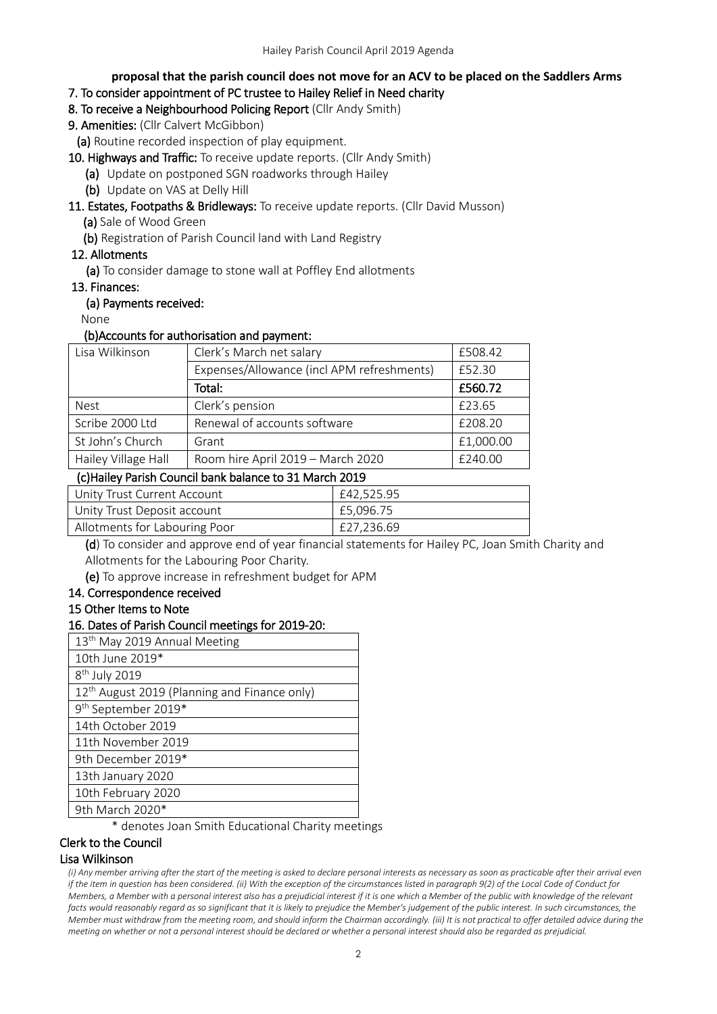### **proposal that the parish council does not move for an ACV to be placed on the Saddlers Arms**

## 7. To consider appointment of PC trustee to Hailey Relief in Need charity

- 8. To receive a Neighbourhood Policing Report (Cllr Andy Smith)
- 9. Amenities: (Cllr Calvert McGibbon)

(a) Routine recorded inspection of play equipment.

- 10. Highways and Traffic: To receive update reports. (Cllr Andy Smith)
	- (a) Update on postponed SGN roadworks through Hailey
	- (b) Update on VAS at Delly Hill
- 11. Estates, Footpaths & Bridleways: To receive update reports. (Cllr David Musson)
	- (a) Sale of Wood Green
	- (b) Registration of Parish Council land with Land Registry

## 12. Allotments

(a) To consider damage to stone wall at Poffley End allotments

### 13. Finances:

### (a) Payments received:

None

### (b)Accounts for authorisation and payment:

| Lisa Wilkinson      | Clerk's March net salary                   |           |
|---------------------|--------------------------------------------|-----------|
|                     | Expenses/Allowance (incl APM refreshments) | £52.30    |
|                     | Total:                                     | £560.72   |
| <b>Nest</b>         | Clerk's pension                            | £23.65    |
| Scribe 2000 Ltd     | Renewal of accounts software               | £208.20   |
| St John's Church    | Grant                                      | £1,000.00 |
| Hailey Village Hall | Room hire April 2019 - March 2020          | £240.00   |

### (c)Hailey Parish Council bank balance to 31 March 2019

| Unity Trust Current Account   | £42.525.95 |
|-------------------------------|------------|
| Unity Trust Deposit account   | £5.096.75  |
| Allotments for Labouring Poor | £27.236.69 |

(d) To consider and approve end of year financial statements for Hailey PC, Joan Smith Charity and Allotments for the Labouring Poor Charity.

(e) To approve increase in refreshment budget for APM

### 14. Correspondence received

### 15 Other Items to Note

### 16. Dates of Parish Council meetings for 2019-20:

| 13 <sup>th</sup> May 2019 Annual Meeting                 |
|----------------------------------------------------------|
| 10th June 2019*                                          |
| 8 <sup>th</sup> July 2019                                |
| 12 <sup>th</sup> August 2019 (Planning and Finance only) |
| 9 <sup>th</sup> September 2019*                          |
| 14th October 2019                                        |
| 11th November 2019                                       |
| 9th December 2019*                                       |
| 13th January 2020                                        |
| 10th February 2020                                       |
| 9th March 2020*                                          |

\* denotes Joan Smith Educational Charity meetings

## Clerk to the Council

### Lisa Wilkinson

*(i) Any member arriving after the start of the meeting is asked to declare personal interests as necessary as soon as practicable after their arrival even if the item in question has been considered. (ii) With the exception of the circumstances listed in paragraph 9(2) of the Local Code of Conduct for Members, a Member with a personal interest also has a prejudicial interest if it is one which a Member of the public with knowledge of the relevant facts would reasonably regard as so significant that it is likely to prejudice the Member's judgement of the public interest. In such circumstances, the Member must withdraw from the meeting room, and should inform the Chairman accordingly. (iii) It is not practical to offer detailed advice during the meeting on whether or not a personal interest should be declared or whether a personal interest should also be regarded as prejudicial.*